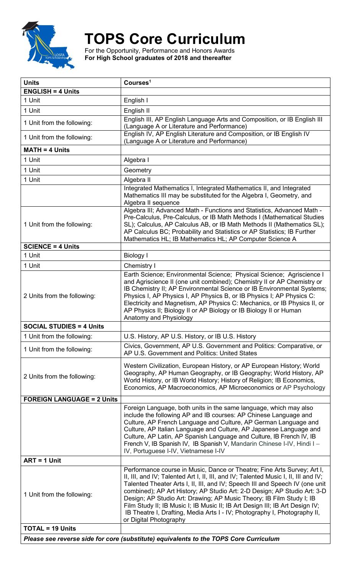

## **TOPS Core Curriculum**

For the Opportunity, Performance and Honors Awards **For High School graduates of 2018 and thereafter**

| <b>Units</b>                                                                          | Courses <sup>1</sup>                                                                                                                                                                                                                                                                                                                                                                                                                                                                                                                                                                      |  |
|---------------------------------------------------------------------------------------|-------------------------------------------------------------------------------------------------------------------------------------------------------------------------------------------------------------------------------------------------------------------------------------------------------------------------------------------------------------------------------------------------------------------------------------------------------------------------------------------------------------------------------------------------------------------------------------------|--|
| <b>ENGLISH = 4 Units</b>                                                              |                                                                                                                                                                                                                                                                                                                                                                                                                                                                                                                                                                                           |  |
| 1 Unit                                                                                | English I                                                                                                                                                                                                                                                                                                                                                                                                                                                                                                                                                                                 |  |
| 1 Unit                                                                                | English II                                                                                                                                                                                                                                                                                                                                                                                                                                                                                                                                                                                |  |
| 1 Unit from the following:                                                            | English III, AP English Language Arts and Composition, or IB English III<br>(Language A or Literature and Performance)                                                                                                                                                                                                                                                                                                                                                                                                                                                                    |  |
| 1 Unit from the following:                                                            | English IV, AP English Literature and Composition, or IB English IV<br>(Language A or Literature and Performance)                                                                                                                                                                                                                                                                                                                                                                                                                                                                         |  |
| <b>MATH = 4 Units</b>                                                                 |                                                                                                                                                                                                                                                                                                                                                                                                                                                                                                                                                                                           |  |
| 1 Unit                                                                                | Algebra I                                                                                                                                                                                                                                                                                                                                                                                                                                                                                                                                                                                 |  |
| 1 Unit                                                                                | Geometry                                                                                                                                                                                                                                                                                                                                                                                                                                                                                                                                                                                  |  |
| 1 Unit                                                                                | Algebra II                                                                                                                                                                                                                                                                                                                                                                                                                                                                                                                                                                                |  |
|                                                                                       | Integrated Mathematics I, Integrated Mathematics II, and Integrated<br>Mathematics III may be substituted for the Algebra I, Geometry, and<br>Algebra II sequence                                                                                                                                                                                                                                                                                                                                                                                                                         |  |
| 1 Unit from the following:                                                            | Algebra III; Advanced Math - Functions and Statistics, Advanced Math -<br>Pre-Calculus, Pre-Calculus, or IB Math Methods I (Mathematical Studies<br>SL); Calculus, AP Calculus AB, or IB Math Methods II (Mathematics SL);<br>AP Calculus BC; Probability and Statistics or AP Statistics; IB Further<br>Mathematics HL; IB Mathematics HL; AP Computer Science A                                                                                                                                                                                                                         |  |
| <b>SCIENCE = 4 Units</b>                                                              |                                                                                                                                                                                                                                                                                                                                                                                                                                                                                                                                                                                           |  |
| 1 Unit                                                                                | <b>Biology I</b>                                                                                                                                                                                                                                                                                                                                                                                                                                                                                                                                                                          |  |
| 1 Unit                                                                                | Chemistry I                                                                                                                                                                                                                                                                                                                                                                                                                                                                                                                                                                               |  |
| 2 Units from the following:                                                           | Earth Science; Environmental Science; Physical Science; Agriscience I<br>and Agriscience II (one unit combined); Chemistry II or AP Chemistry or<br>IB Chemistry II; AP Environmental Science or IB Environmental Systems;<br>Physics I, AP Physics I, AP Physics B, or IB Physics I; AP Physics C:<br>Electricity and Magnetism, AP Physics C: Mechanics, or IB Physics II, or<br>AP Physics II; Biology II or AP Biology or IB Biology II or Human<br>Anatomy and Physiology                                                                                                            |  |
| <b>SOCIAL STUDIES = 4 Units</b>                                                       |                                                                                                                                                                                                                                                                                                                                                                                                                                                                                                                                                                                           |  |
| 1 Unit from the following:                                                            | U.S. History, AP U.S. History, or IB U.S. History                                                                                                                                                                                                                                                                                                                                                                                                                                                                                                                                         |  |
| 1 Unit from the following:                                                            | Civics, Government, AP U.S. Government and Politics: Comparative, or<br>AP U.S. Government and Politics: United States                                                                                                                                                                                                                                                                                                                                                                                                                                                                    |  |
| 2 Units from the following:                                                           | Western Civilization, European History, or AP European History; World<br>Geography, AP Human Geography, or IB Geography; World History, AP<br>World History, or IB World History; History of Religion; IB Economics,<br>Economics, AP Macroeconomics, AP Microeconomics or AP Psychology                                                                                                                                                                                                                                                                                                  |  |
| <b>FOREIGN LANGUAGE = 2 Units</b>                                                     |                                                                                                                                                                                                                                                                                                                                                                                                                                                                                                                                                                                           |  |
|                                                                                       | Foreign Language, both units in the same language, which may also<br>include the following AP and IB courses: AP Chinese Language and<br>Culture, AP French Language and Culture, AP German Language and<br>Culture, AP Italian Language and Culture, AP Japanese Language and<br>Culture, AP Latin, AP Spanish Language and Culture, IB French IV, IB<br>French V, IB Spanish IV, IB Spanish V, Mandarin Chinese I-IV, Hindi I -<br>IV, Portuguese I-IV, Vietnamese I-IV                                                                                                                 |  |
| $ART = 1$ Unit                                                                        |                                                                                                                                                                                                                                                                                                                                                                                                                                                                                                                                                                                           |  |
| 1 Unit from the following:                                                            | Performance course in Music, Dance or Theatre; Fine Arts Survey; Art I,<br>II, III, and IV; Talented Art I, II, III, and IV; Talented Music I, II, III and IV;<br>Talented Theater Arts I, II, III, and IV; Speech III and Speech IV (one unit<br>combined); AP Art History; AP Studio Art: 2-D Design; AP Studio Art: 3-D<br>Design; AP Studio Art: Drawing; AP Music Theory; IB Film Study I; IB<br>Film Study II; IB Music I; IB Music II; IB Art Design III; IB Art Design IV;<br>IB Theatre I, Drafting, Media Arts I - IV; Photography I, Photography II,<br>or Digital Photography |  |
| <b>TOTAL = 19 Units</b>                                                               |                                                                                                                                                                                                                                                                                                                                                                                                                                                                                                                                                                                           |  |
| Please see reverse side for core (substitute) equivalents to the TOPS Core Curriculum |                                                                                                                                                                                                                                                                                                                                                                                                                                                                                                                                                                                           |  |